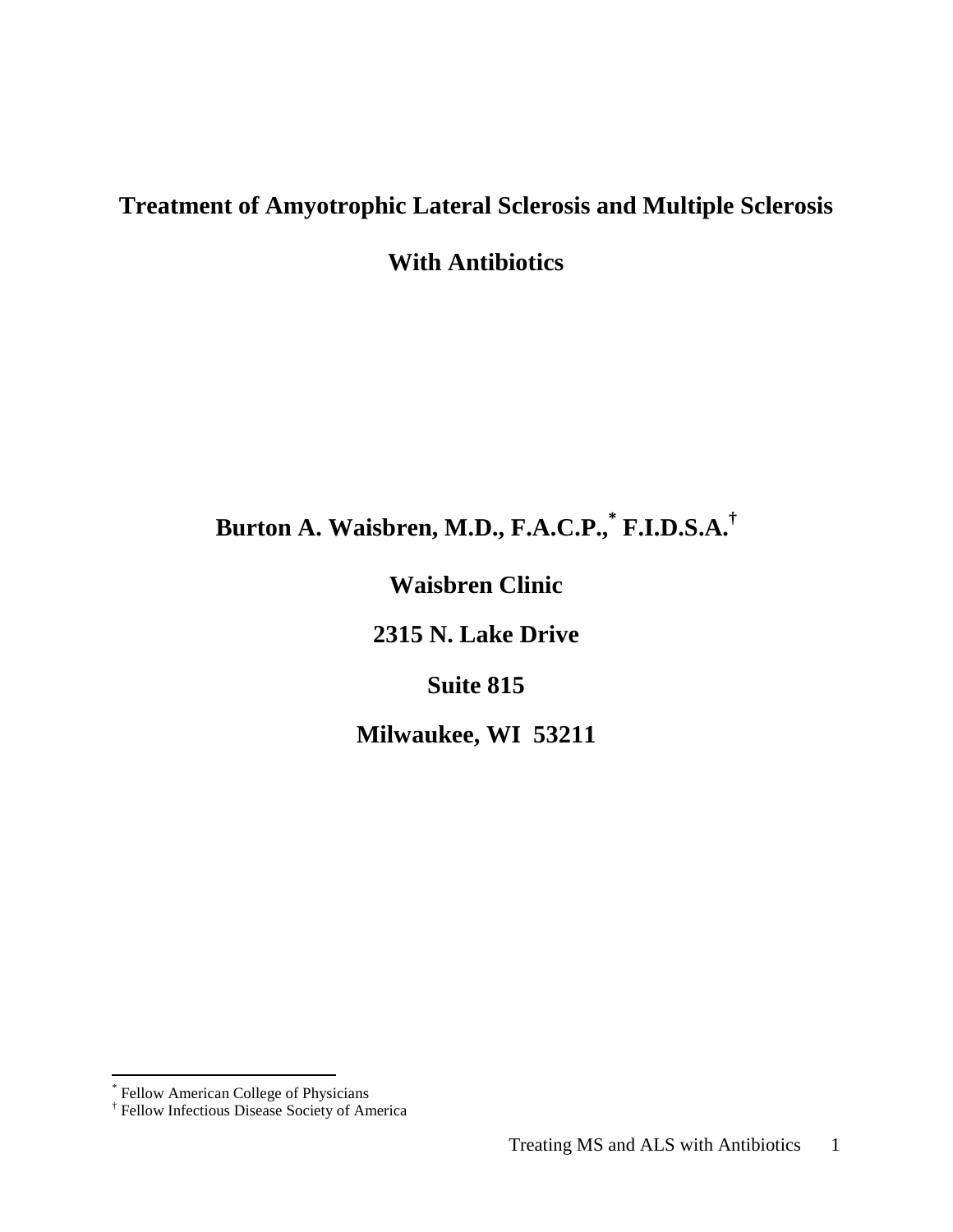# **Treatment of Amyotrophic Lateral Sclerosis and Multiple Sclerosis With Antibiotics**

## **Burton A. Waisbren, M.D., F.A.C.P.,\* F.I.D.S.A.†**

## **Waisbren Clinic**

**2315 N. Lake Drive**

### **Suite 815**

**Milwaukee, WI 53211**

 <sup>\*</sup> Fellow American College of Physicians

<sup>†</sup> Fellow Infectious Disease Society of America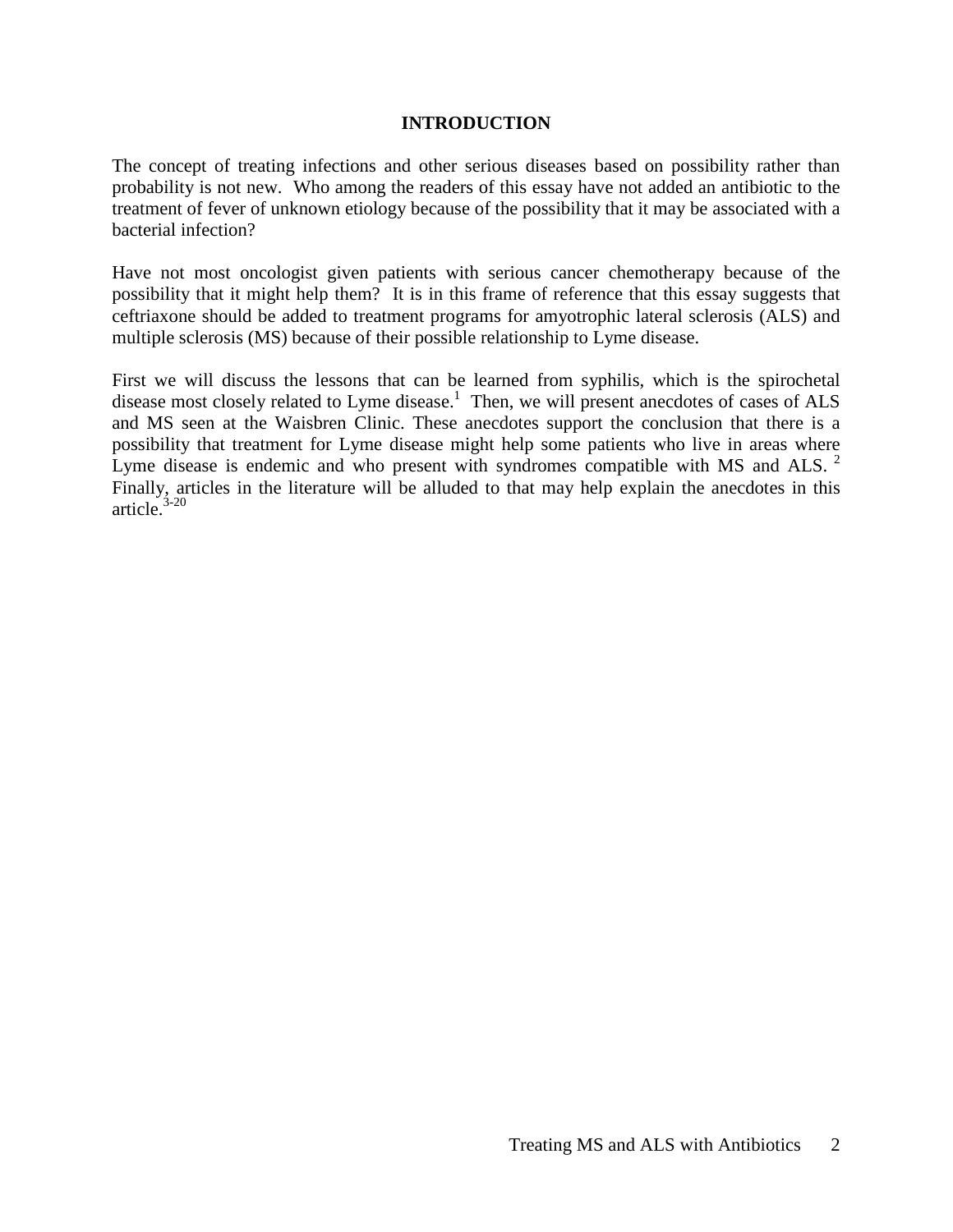#### **INTRODUCTION**

The concept of treating infections and other serious diseases based on possibility rather than probability is not new. Who among the readers of this essay have not added an antibiotic to the treatment of fever of unknown etiology because of the possibility that it may be associated with a bacterial infection?

Have not most oncologist given patients with serious cancer chemotherapy because of the possibility that it might help them? It is in this frame of reference that this essay suggests that ceftriaxone should be added to treatment programs for amyotrophic lateral sclerosis (ALS) and multiple sclerosis (MS) because of their possible relationship to Lyme disease.

First we will discuss the lessons that can be learned from syphilis, which is the spirochetal disease most closely related to Lyme disease.<sup>1</sup> Then, we will present anecdotes of cases of ALS and MS seen at the Waisbren Clinic. These anecdotes support the conclusion that there is a possibility that treatment for Lyme disease might help some patients who live in areas where Lyme disease is endemic and who present with syndromes compatible with MS and ALS.<sup>2</sup> Finally, articles in the literature will be alluded to that may help explain the anecdotes in this article. 3-20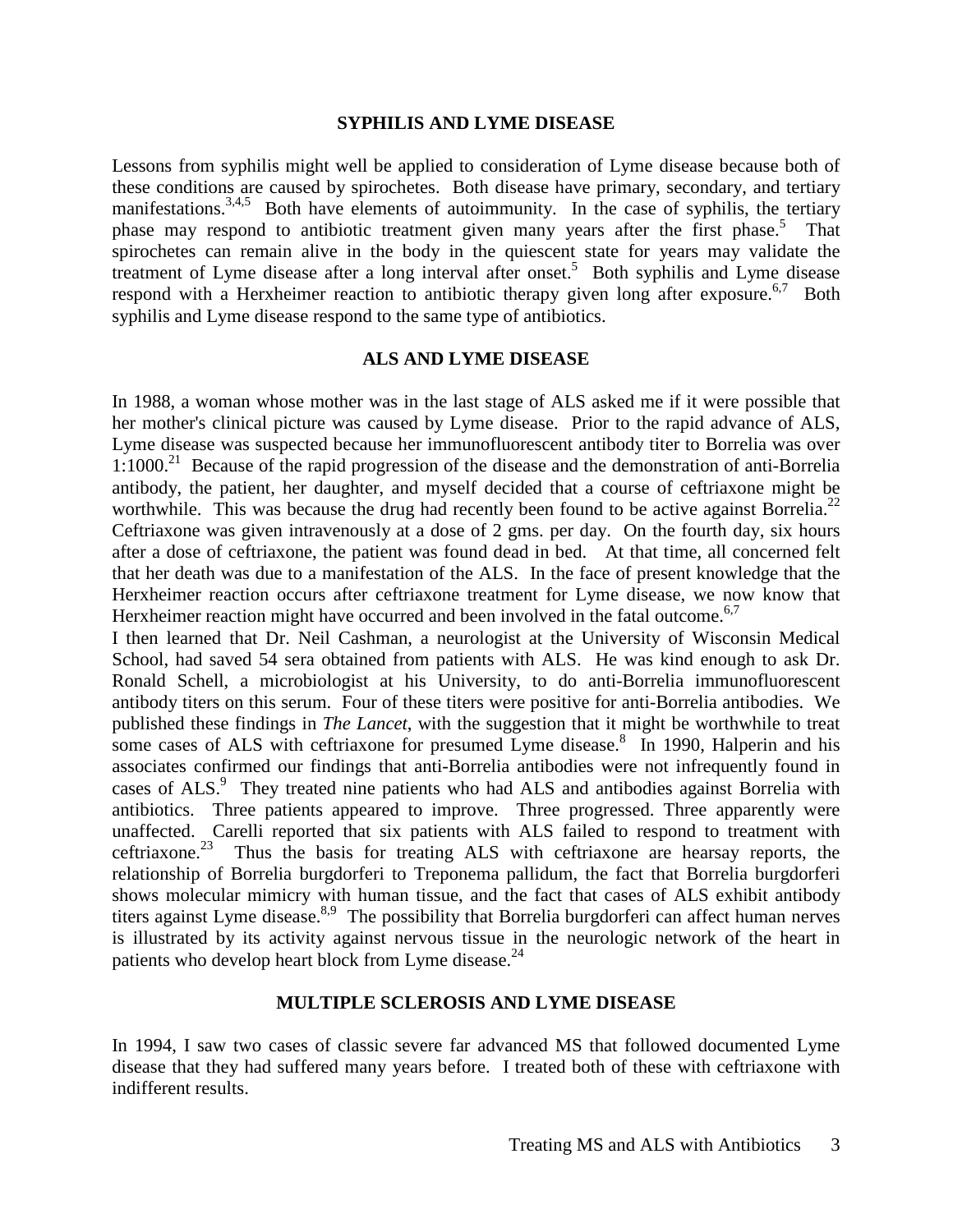#### **SYPHILIS AND LYME DISEASE**

Lessons from syphilis might well be applied to consideration of Lyme disease because both of these conditions are caused by spirochetes. Both disease have primary, secondary, and tertiary manifestations.<sup>3,4,5</sup> Both have elements of autoimmunity. In the case of syphilis, the tertiary phase may respond to antibiotic treatment given many years after the first phase.<sup>5</sup> That spirochetes can remain alive in the body in the quiescent state for years may validate the treatment of Lyme disease after a long interval after onset. 5 Both syphilis and Lyme disease respond with a Herxheimer reaction to antibiotic therapy given long after exposure.<sup>6,7</sup> Both syphilis and Lyme disease respond to the same type of antibiotics.

#### **ALS AND LYME DISEASE**

In 1988, a woman whose mother was in the last stage of ALS asked me if it were possible that her mother's clinical picture was caused by Lyme disease. Prior to the rapid advance of ALS, Lyme disease was suspected because her immunofluorescent antibody titer to Borrelia was over 1:1000.<sup>21</sup> Because of the rapid progression of the disease and the demonstration of anti-Borrelia antibody, the patient, her daughter, and myself decided that a course of ceftriaxone might be worthwhile. This was because the drug had recently been found to be active against Borrelia.<sup>22</sup> Ceftriaxone was given intravenously at a dose of 2 gms. per day. On the fourth day, six hours after a dose of ceftriaxone, the patient was found dead in bed. At that time, all concerned felt that her death was due to a manifestation of the ALS. In the face of present knowledge that the Herxheimer reaction occurs after ceftriaxone treatment for Lyme disease, we now know that Herxheimer reaction might have occurred and been involved in the fatal outcome.<sup>6,7</sup>

I then learned that Dr. Neil Cashman, a neurologist at the University of Wisconsin Medical School, had saved 54 sera obtained from patients with ALS. He was kind enough to ask Dr. Ronald Schell, a microbiologist at his University, to do anti-Borrelia immunofluorescent antibody titers on this serum. Four of these titers were positive for anti-Borrelia antibodies. We published these findings in *The Lancet*, with the suggestion that it might be worthwhile to treat some cases of ALS with ceftriaxone for presumed Lyme disease.<sup>8</sup> In 1990, Halperin and his associates confirmed our findings that anti-Borrelia antibodies were not infrequently found in cases of ALS.<sup>9</sup> They treated nine patients who had ALS and antibodies against Borrelia with antibiotics. Three patients appeared to improve. Three progressed. Three apparently were unaffected. Carelli reported that six patients with ALS failed to respond to treatment with ceftriaxone.<sup>23</sup> Thus the basis for treating ALS with ceftriaxone are hearsay reports, the relationship of Borrelia burgdorferi to Treponema pallidum, the fact that Borrelia burgdorferi shows molecular mimicry with human tissue, and the fact that cases of ALS exhibit antibody titers against Lyme disease.<sup>8,9</sup> The possibility that Borrelia burgdorferi can affect human nerves is illustrated by its activity against nervous tissue in the neurologic network of the heart in patients who develop heart block from Lyme disease.<sup>24</sup>

#### **MULTIPLE SCLEROSIS AND LYME DISEASE**

In 1994, I saw two cases of classic severe far advanced MS that followed documented Lyme disease that they had suffered many years before. I treated both of these with ceftriaxone with indifferent results.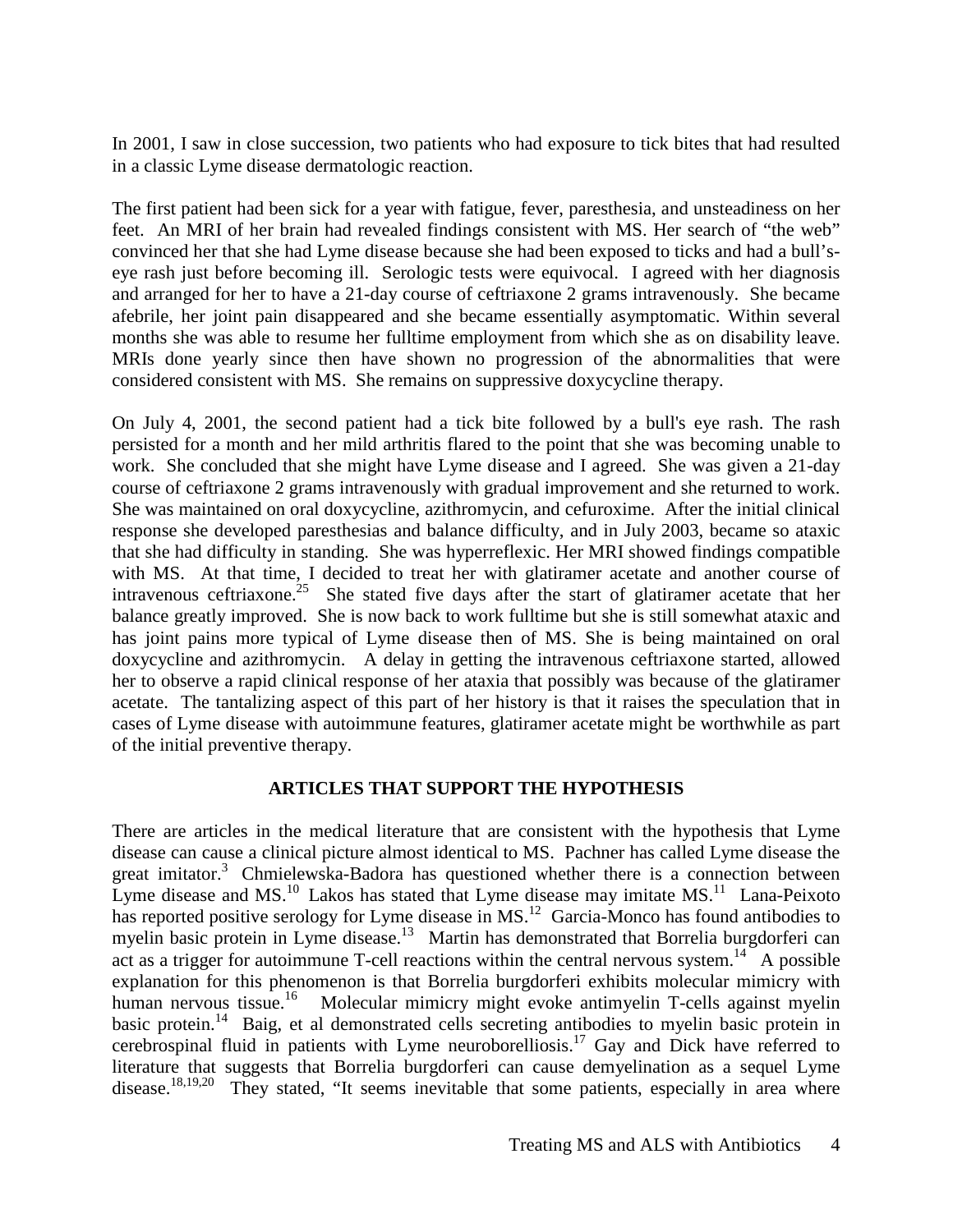In 2001, I saw in close succession, two patients who had exposure to tick bites that had resulted in a classic Lyme disease dermatologic reaction.

The first patient had been sick for a year with fatigue, fever, paresthesia, and unsteadiness on her feet. An MRI of her brain had revealed findings consistent with MS. Her search of "the web" convinced her that she had Lyme disease because she had been exposed to ticks and had a bull'seye rash just before becoming ill. Serologic tests were equivocal. I agreed with her diagnosis and arranged for her to have a 21-day course of ceftriaxone 2 grams intravenously. She became afebrile, her joint pain disappeared and she became essentially asymptomatic. Within several months she was able to resume her fulltime employment from which she as on disability leave. MRIs done yearly since then have shown no progression of the abnormalities that were considered consistent with MS. She remains on suppressive doxycycline therapy.

On July 4, 2001, the second patient had a tick bite followed by a bull's eye rash. The rash persisted for a month and her mild arthritis flared to the point that she was becoming unable to work. She concluded that she might have Lyme disease and I agreed. She was given a 21-day course of ceftriaxone 2 grams intravenously with gradual improvement and she returned to work. She was maintained on oral doxycycline, azithromycin, and cefuroxime. After the initial clinical response she developed paresthesias and balance difficulty, and in July 2003, became so ataxic that she had difficulty in standing. She was hyperreflexic. Her MRI showed findings compatible with MS. At that time, I decided to treat her with glatiramer acetate and another course of intravenous ceftriaxone.<sup>25</sup> She stated five days after the start of glatiramer acetate that her balance greatly improved. She is now back to work fulltime but she is still somewhat ataxic and has joint pains more typical of Lyme disease then of MS. She is being maintained on oral doxycycline and azithromycin. A delay in getting the intravenous ceftriaxone started, allowed her to observe a rapid clinical response of her ataxia that possibly was because of the glatiramer acetate. The tantalizing aspect of this part of her history is that it raises the speculation that in cases of Lyme disease with autoimmune features, glatiramer acetate might be worthwhile as part of the initial preventive therapy.

#### **ARTICLES THAT SUPPORT THE HYPOTHESIS**

There are articles in the medical literature that are consistent with the hypothesis that Lyme disease can cause a clinical picture almost identical to MS. Pachner has called Lyme disease the great imitator. $3$  Chmielewska-Badora has questioned whether there is a connection between Lyme disease and MS.<sup>10</sup> Lakos has stated that Lyme disease may imitate MS.<sup>11</sup> Lana-Peixoto has reported positive serology for Lyme disease in MS.<sup>12</sup> Garcia-Monco has found antibodies to myelin basic protein in Lyme disease.<sup>13</sup> Martin has demonstrated that Borrelia burgdorferi can act as a trigger for autoimmune T-cell reactions within the central nervous system.<sup>14</sup> A possible explanation for this phenomenon is that Borrelia burgdorferi exhibits molecular mimicry with human nervous tissue.<sup>16</sup> Molecular mimicry might evoke antimyelin T-cells against myelin basic protein.<sup>14</sup> Baig, et al demonstrated cells secreting antibodies to myelin basic protein in cerebrospinal fluid in patients with Lyme neuroborelliosis.17 Gay and Dick have referred to literature that suggests that Borrelia burgdorferi can cause demyelination as a sequel Lyme disease.<sup>18,19,20</sup> They stated, "It seems inevitable that some patients, especially in area where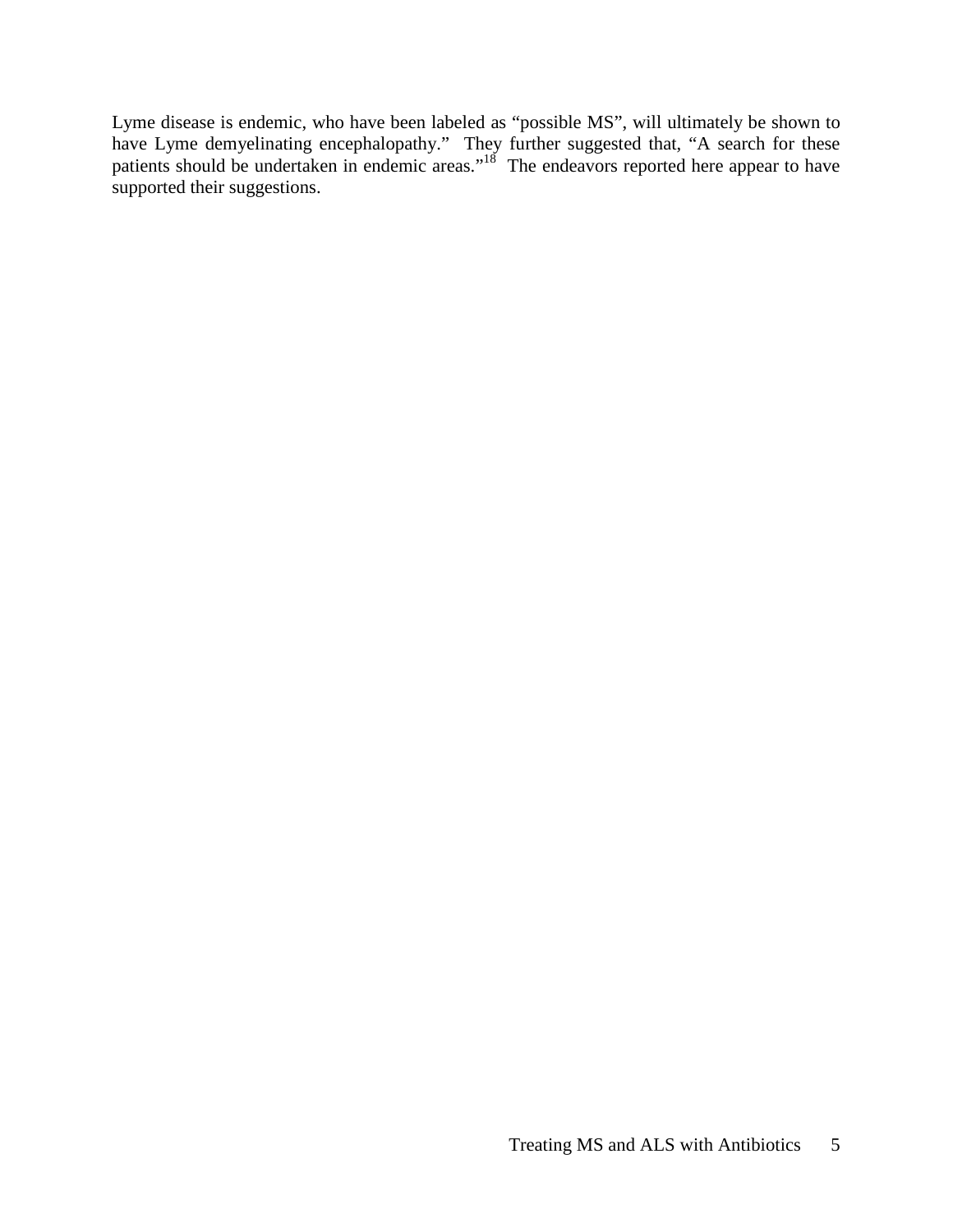Lyme disease is endemic, who have been labeled as "possible MS", will ultimately be shown to have Lyme demyelinating encephalopathy." They further suggested that, "A search for these patients should be undertaken in endemic areas."<sup>18</sup> The endeavors reported here appear to have supported their suggestions.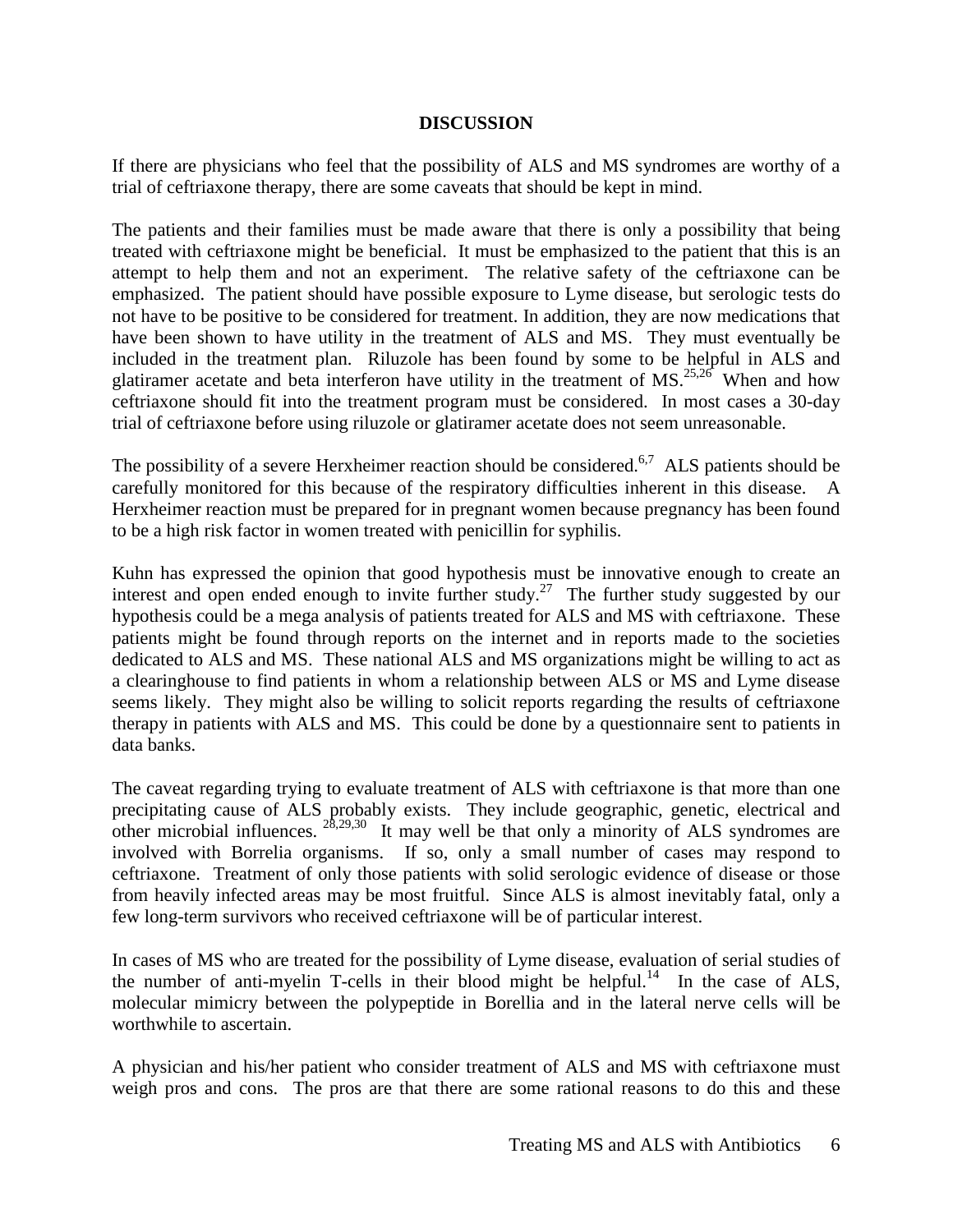#### **DISCUSSION**

If there are physicians who feel that the possibility of ALS and MS syndromes are worthy of a trial of ceftriaxone therapy, there are some caveats that should be kept in mind.

The patients and their families must be made aware that there is only a possibility that being treated with ceftriaxone might be beneficial. It must be emphasized to the patient that this is an attempt to help them and not an experiment. The relative safety of the ceftriaxone can be emphasized. The patient should have possible exposure to Lyme disease, but serologic tests do not have to be positive to be considered for treatment. In addition, they are now medications that have been shown to have utility in the treatment of ALS and MS. They must eventually be included in the treatment plan. Riluzole has been found by some to be helpful in ALS and glatiramer acetate and beta interferon have utility in the treatment of  $MS$ <sup>25,26</sup> When and how ceftriaxone should fit into the treatment program must be considered. In most cases a 30-day trial of ceftriaxone before using riluzole or glatiramer acetate does not seem unreasonable.

The possibility of a severe Herxheimer reaction should be considered.<sup>6,7</sup> ALS patients should be carefully monitored for this because of the respiratory difficulties inherent in this disease. A Herxheimer reaction must be prepared for in pregnant women because pregnancy has been found to be a high risk factor in women treated with penicillin for syphilis.

Kuhn has expressed the opinion that good hypothesis must be innovative enough to create an interest and open ended enough to invite further study.<sup>27</sup> The further study suggested by our hypothesis could be a mega analysis of patients treated for ALS and MS with ceftriaxone. These patients might be found through reports on the internet and in reports made to the societies dedicated to ALS and MS. These national ALS and MS organizations might be willing to act as a clearinghouse to find patients in whom a relationship between ALS or MS and Lyme disease seems likely. They might also be willing to solicit reports regarding the results of ceftriaxone therapy in patients with ALS and MS. This could be done by a questionnaire sent to patients in data banks.

The caveat regarding trying to evaluate treatment of ALS with ceftriaxone is that more than one precipitating cause of ALS probably exists. They include geographic, genetic, electrical and other microbial influences.  $28,29,30$  It may well be that only a minority of ALS syndromes are involved with Borrelia organisms. If so, only a small number of cases may respond to ceftriaxone. Treatment of only those patients with solid serologic evidence of disease or those from heavily infected areas may be most fruitful. Since ALS is almost inevitably fatal, only a few long-term survivors who received ceftriaxone will be of particular interest.

In cases of MS who are treated for the possibility of Lyme disease, evaluation of serial studies of the number of anti-myelin T-cells in their blood might be helpful.<sup>14</sup> In the case of ALS, molecular mimicry between the polypeptide in Borellia and in the lateral nerve cells will be worthwhile to ascertain.

A physician and his/her patient who consider treatment of ALS and MS with ceftriaxone must weigh pros and cons. The pros are that there are some rational reasons to do this and these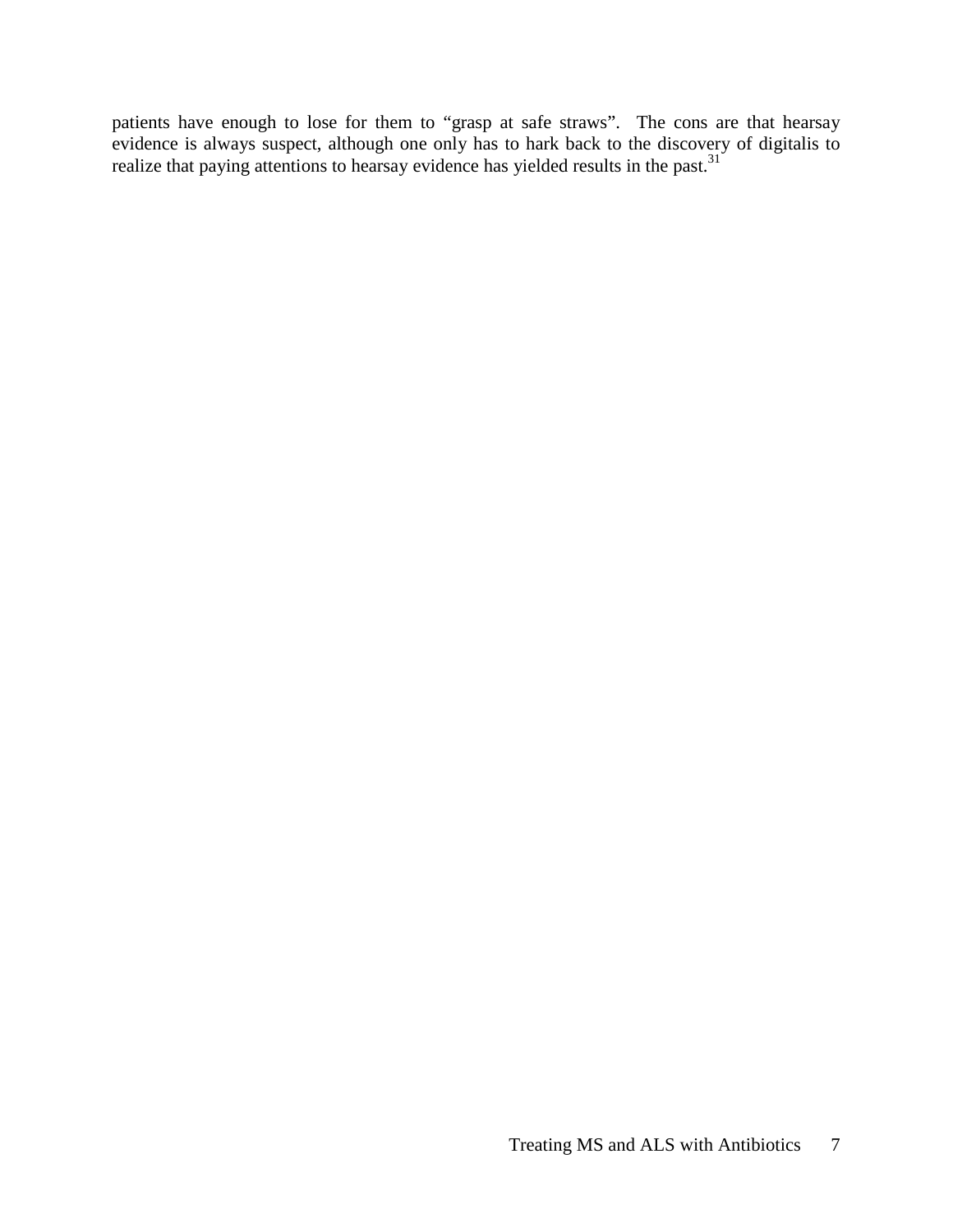patients have enough to lose for them to "grasp at safe straws". The cons are that hearsay evidence is always suspect, although one only has to hark back to the discovery of digitalis to realize that paying attentions to hearsay evidence has yielded results in the past.<sup>31</sup>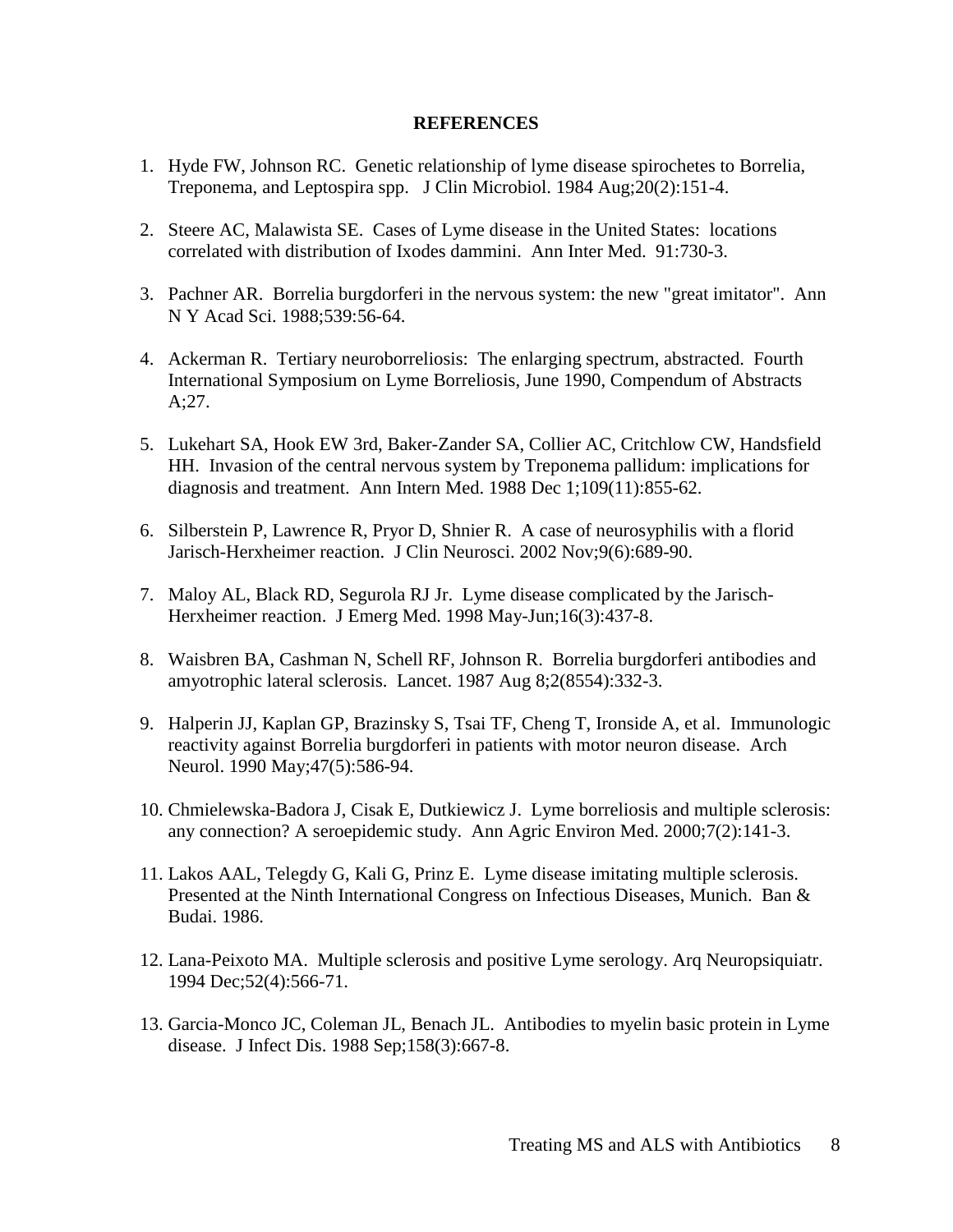#### **REFERENCES**

- 1. Hyde FW, Johnson RC. Genetic relationship of lyme disease spirochetes to Borrelia, Treponema, and Leptospira spp. J Clin Microbiol. 1984 Aug;20(2):151-4.
- 2. Steere AC, Malawista SE. Cases of Lyme disease in the United States: locations correlated with distribution of Ixodes dammini. Ann Inter Med. 91:730-3.
- 3. Pachner AR. Borrelia burgdorferi in the nervous system: the new "great imitator". Ann N Y Acad Sci. 1988;539:56-64.
- 4. Ackerman R. Tertiary neuroborreliosis: The enlarging spectrum, abstracted. Fourth International Symposium on Lyme Borreliosis, June 1990, Compendum of Abstracts A;27.
- 5. Lukehart SA, Hook EW 3rd, Baker-Zander SA, Collier AC, Critchlow CW, Handsfield HH. Invasion of the central nervous system by Treponema pallidum: implications for diagnosis and treatment. Ann Intern Med. 1988 Dec 1;109(11):855-62.
- 6. Silberstein P, Lawrence R, Pryor D, Shnier R. A case of neurosyphilis with a florid Jarisch-Herxheimer reaction. J Clin Neurosci. 2002 Nov;9(6):689-90.
- 7. Maloy AL, Black RD, Segurola RJ Jr. Lyme disease complicated by the Jarisch-Herxheimer reaction. J Emerg Med. 1998 May-Jun;16(3):437-8.
- 8. Waisbren BA, Cashman N, Schell RF, Johnson R. Borrelia burgdorferi antibodies and amyotrophic lateral sclerosis. Lancet. 1987 Aug 8;2(8554):332-3.
- 9. Halperin JJ, Kaplan GP, Brazinsky S, Tsai TF, Cheng T, Ironside A, et al. Immunologic reactivity against Borrelia burgdorferi in patients with motor neuron disease. Arch Neurol. 1990 May;47(5):586-94.
- 10. Chmielewska-Badora J, Cisak E, Dutkiewicz J. Lyme borreliosis and multiple sclerosis: any connection? A seroepidemic study. Ann Agric Environ Med. 2000;7(2):141-3.
- 11. Lakos AAL, Telegdy G, Kali G, Prinz E. Lyme disease imitating multiple sclerosis. Presented at the Ninth International Congress on Infectious Diseases, Munich. Ban & Budai. 1986.
- 12. Lana-Peixoto MA. Multiple sclerosis and positive Lyme serology. Arq Neuropsiquiatr. 1994 Dec;52(4):566-71.
- 13. Garcia-Monco JC, Coleman JL, Benach JL. Antibodies to myelin basic protein in Lyme disease. J Infect Dis. 1988 Sep;158(3):667-8.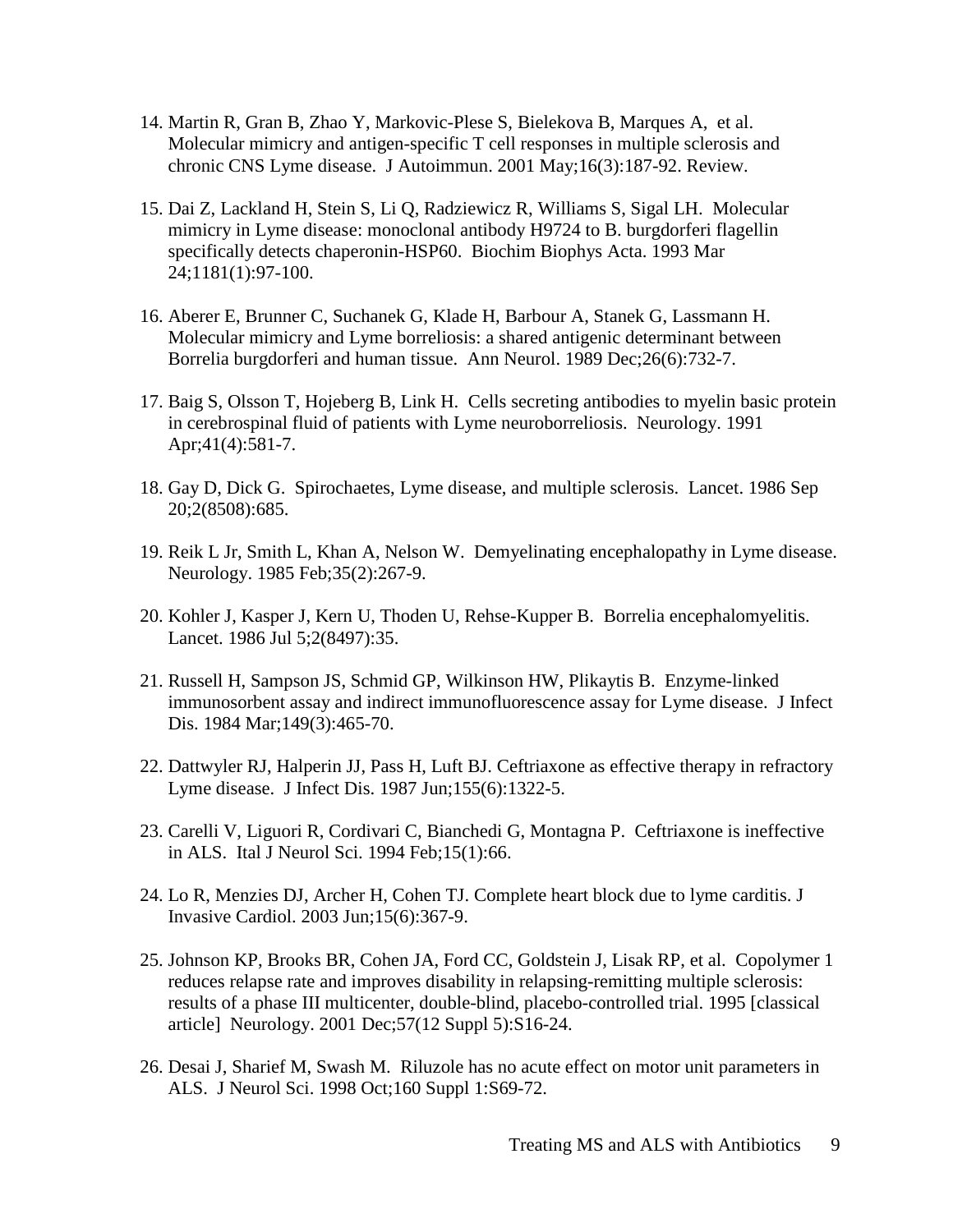- 14. Martin R, Gran B, Zhao Y, Markovic-Plese S, Bielekova B, Marques A, et al. Molecular mimicry and antigen-specific T cell responses in multiple sclerosis and chronic CNS Lyme disease. J Autoimmun. 2001 May;16(3):187-92. Review.
- 15. Dai Z, Lackland H, Stein S, Li Q, Radziewicz R, Williams S, Sigal LH. Molecular mimicry in Lyme disease: monoclonal antibody H9724 to B. burgdorferi flagellin specifically detects chaperonin-HSP60. Biochim Biophys Acta. 1993 Mar 24;1181(1):97-100.
- 16. Aberer E, Brunner C, Suchanek G, Klade H, Barbour A, Stanek G, Lassmann H. Molecular mimicry and Lyme borreliosis: a shared antigenic determinant between Borrelia burgdorferi and human tissue. Ann Neurol. 1989 Dec;26(6):732-7.
- 17. Baig S, Olsson T, Hojeberg B, Link H. Cells secreting antibodies to myelin basic protein in cerebrospinal fluid of patients with Lyme neuroborreliosis. Neurology. 1991 Apr;41(4):581-7.
- 18. Gay D, Dick G. Spirochaetes, Lyme disease, and multiple sclerosis. Lancet. 1986 Sep 20;2(8508):685.
- 19. Reik L Jr, Smith L, Khan A, Nelson W. Demyelinating encephalopathy in Lyme disease. Neurology. 1985 Feb;35(2):267-9.
- 20. Kohler J, Kasper J, Kern U, Thoden U, Rehse-Kupper B. Borrelia encephalomyelitis. Lancet. 1986 Jul 5;2(8497):35.
- 21. Russell H, Sampson JS, Schmid GP, Wilkinson HW, Plikaytis B. Enzyme-linked immunosorbent assay and indirect immunofluorescence assay for Lyme disease. J Infect Dis. 1984 Mar;149(3):465-70.
- 22. Dattwyler RJ, Halperin JJ, Pass H, Luft BJ. Ceftriaxone as effective therapy in refractory Lyme disease. J Infect Dis. 1987 Jun;155(6):1322-5.
- 23. Carelli V, Liguori R, Cordivari C, Bianchedi G, Montagna P.Ceftriaxone is ineffective in ALS. Ital J Neurol Sci. 1994 Feb;15(1):66.
- 24. Lo R, Menzies DJ, Archer H, Cohen TJ. Complete heart block due to lyme carditis. J Invasive Cardiol. 2003 Jun;15(6):367-9.
- 25. Johnson KP, Brooks BR, Cohen JA, Ford CC, Goldstein J, Lisak RP, et al. Copolymer 1 reduces relapse rate and improves disability in relapsing-remitting multiple sclerosis: results of a phase III multicenter, double-blind, placebo-controlled trial. 1995 [classical article] Neurology. 2001 Dec;57(12 Suppl 5):S16-24.
- 26. Desai J, Sharief M, Swash M. Riluzole has no acute effect on motor unit parameters in ALS. J Neurol Sci. 1998 Oct;160 Suppl 1:S69-72.